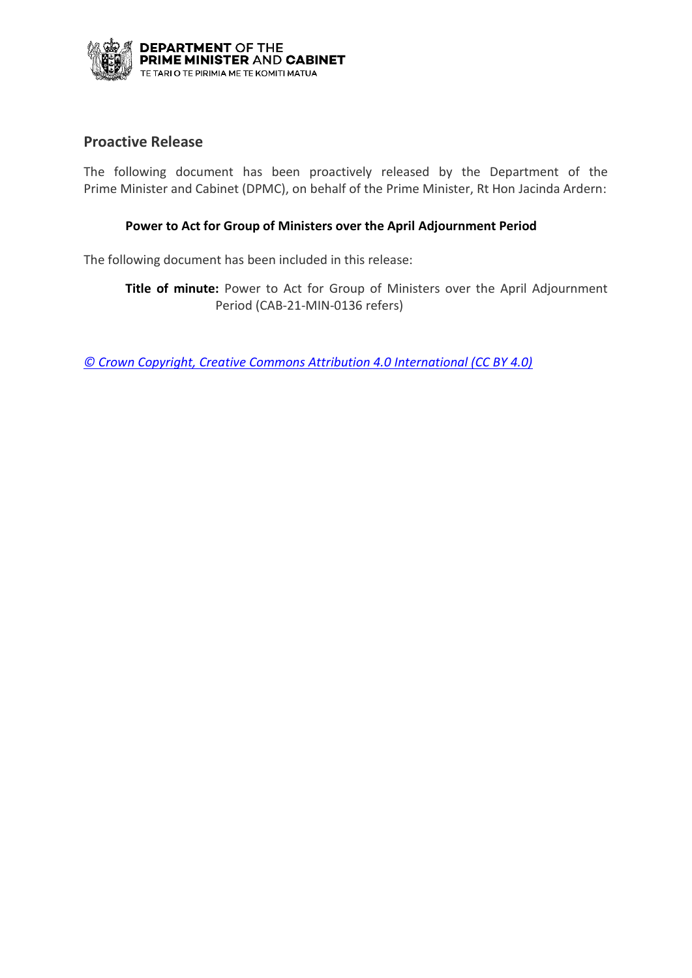

## **Proactive Release**

The following document has been proactively released by the Department of the Prime Minister and Cabinet (DPMC), on behalf of the Prime Minister, Rt Hon Jacinda Ardern:

### **Power to Act for Group of Ministers over the April Adjournment Period**

The following document has been included in this release:

**Title of minute:** Power to Act for Group of Ministers over the April Adjournment Period (CAB-21-MIN-0136 refers)

*[© Crown Copyright, Creative Commons Attribution 4.0 International \(CC BY 4.0\)](https://creativecommons.org/licenses/by/4.0/)*